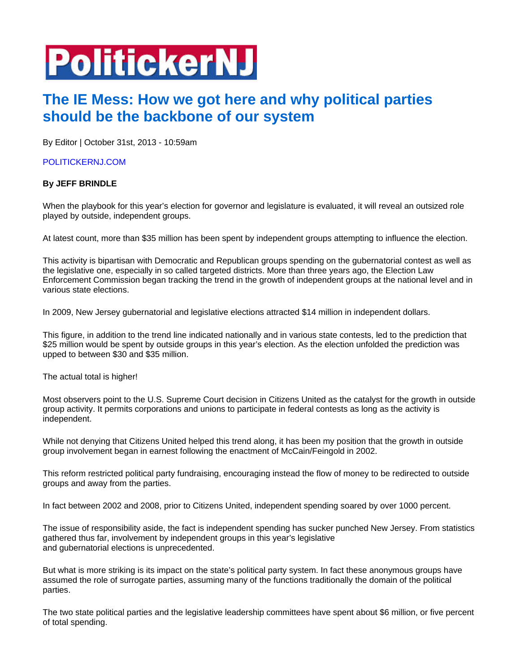## **PolitickerNJ**

## **The IE Mess: How we got here and why political parties should be the backbone of our system**

By Editor | October 31st, 2013 - 10:59am

## POLITICKERNJ.COM

## **By JEFF BRINDLE**

When the playbook for this year's election for governor and legislature is evaluated, it will reveal an outsized role played by outside, independent groups.

At latest count, more than \$35 million has been spent by independent groups attempting to influence the election.

This activity is bipartisan with Democratic and Republican groups spending on the gubernatorial contest as well as the legislative one, especially in so called targeted districts. More than three years ago, the Election Law Enforcement Commission began tracking the trend in the growth of independent groups at the national level and in various state elections.

In 2009, New Jersey gubernatorial and legislative elections attracted \$14 million in independent dollars.

This figure, in addition to the trend line indicated nationally and in various state contests, led to the prediction that \$25 million would be spent by outside groups in this year's election. As the election unfolded the prediction was upped to between \$30 and \$35 million.

The actual total is higher!

Most observers point to the U.S. Supreme Court decision in Citizens United as the catalyst for the growth in outside group activity. It permits corporations and unions to participate in federal contests as long as the activity is independent.

While not denying that Citizens United helped this trend along, it has been my position that the growth in outside group involvement began in earnest following the enactment of McCain/Feingold in 2002.

This reform restricted political party fundraising, encouraging instead the flow of money to be redirected to outside groups and away from the parties.

In fact between 2002 and 2008, prior to Citizens United, independent spending soared by over 1000 percent.

The issue of responsibility aside, the fact is independent spending has sucker punched New Jersey. From statistics gathered thus far, involvement by independent groups in this year's legislative and gubernatorial elections is unprecedented.

But what is more striking is its impact on the state's political party system. In fact these anonymous groups have assumed the role of surrogate parties, assuming many of the functions traditionally the domain of the political parties.

The two state political parties and the legislative leadership committees have spent about \$6 million, or five percent of total spending.